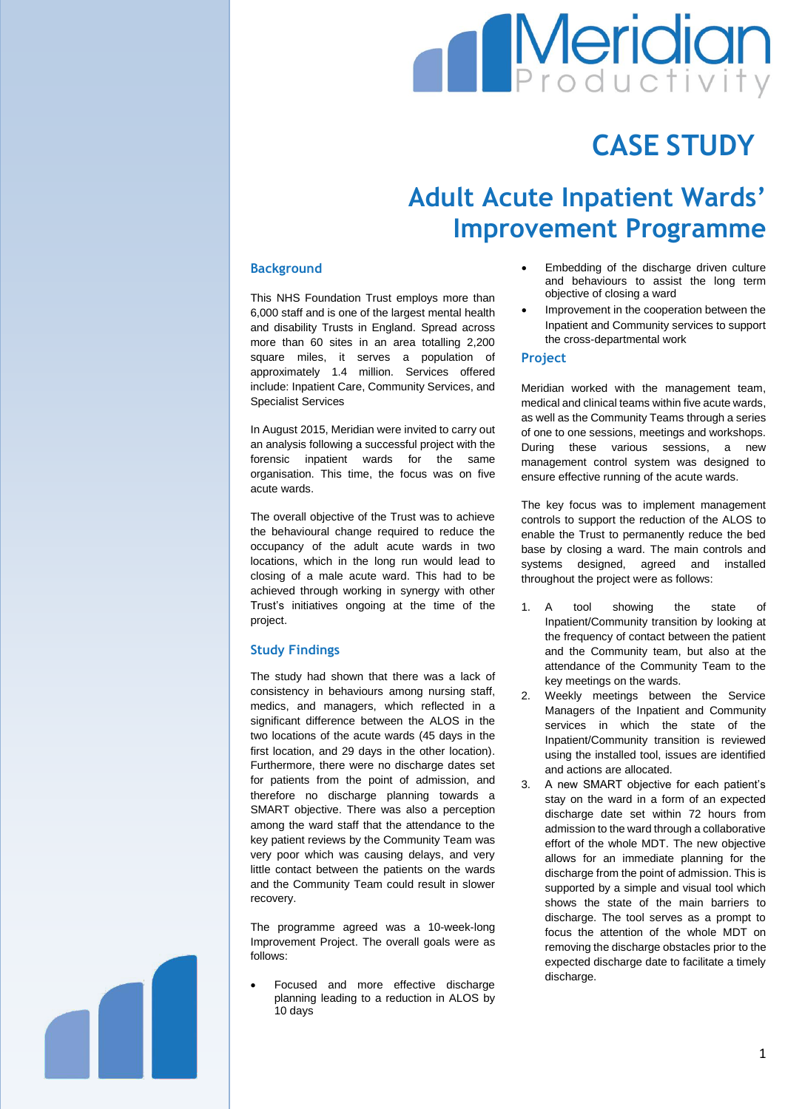# **Meridian**

## **CASE STUDY**

### **Adult Acute Inpatient Wards' Improvement Programme**

#### **Background**

This NHS Foundation Trust employs more than 6,000 staff and is one of the largest mental health and disability Trusts in England. Spread across more than 60 sites in an area totalling 2,200 square miles, it serves a population of approximately 1.4 million. Services offered include: Inpatient Care, Community Services, and Specialist Services

In August 2015, Meridian were invited to carry out an analysis following a successful project with the forensic inpatient wards for the same organisation. This time, the focus was on five acute wards.

The overall objective of the Trust was to achieve the behavioural change required to reduce the occupancy of the adult acute wards in two locations, which in the long run would lead to closing of a male acute ward. This had to be achieved through working in synergy with other Trust's initiatives ongoing at the time of the project.

#### **Study Findings**

The study had shown that there was a lack of consistency in behaviours among nursing staff, medics, and managers, which reflected in a significant difference between the ALOS in the two locations of the acute wards (45 days in the first location, and 29 days in the other location). Furthermore, there were no discharge dates set for patients from the point of admission, and therefore no discharge planning towards a SMART objective. There was also a perception among the ward staff that the attendance to the key patient reviews by the Community Team was very poor which was causing delays, and very little contact between the patients on the wards and the Community Team could result in slower recovery.

The programme agreed was a 10-week-long Improvement Project. The overall goals were as follows:

• Focused and more effective discharge planning leading to a reduction in ALOS by 10 days

- Embedding of the discharge driven culture and behaviours to assist the long term objective of closing a ward
- Improvement in the cooperation between the Inpatient and Community services to support the cross-departmental work

#### **Project**

Meridian worked with the management team, medical and clinical teams within five acute wards, as well as the Community Teams through a series of one to one sessions, meetings and workshops. During these various sessions, a new management control system was designed to ensure effective running of the acute wards.

The key focus was to implement management controls to support the reduction of the ALOS to enable the Trust to permanently reduce the bed base by closing a ward. The main controls and systems designed, agreed and installed throughout the project were as follows:

- 1. A tool showing the state of Inpatient/Community transition by looking at the frequency of contact between the patient and the Community team, but also at the attendance of the Community Team to the key meetings on the wards.
- 2. Weekly meetings between the Service Managers of the Inpatient and Community services in which the state of the Inpatient/Community transition is reviewed using the installed tool, issues are identified and actions are allocated.
- 3. A new SMART objective for each patient's stay on the ward in a form of an expected discharge date set within 72 hours from admission to the ward through a collaborative effort of the whole MDT. The new objective allows for an immediate planning for the discharge from the point of admission. This is supported by a simple and visual tool which shows the state of the main barriers to discharge. The tool serves as a prompt to focus the attention of the whole MDT on removing the discharge obstacles prior to the expected discharge date to facilitate a timely discharge.